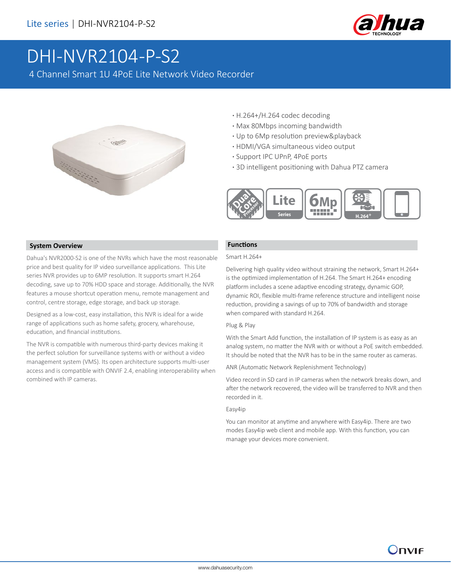

# DHI-NVR2104-P-S2

4 Channel Smart 1U 4PoE Lite Network Video Recorder



- **·** H.264+/H.264 codec decoding
- **·** Max 80Mbps incoming bandwidth
- **·** Up to 6Mp resolution preview&playback
- **·** HDMI/VGA simultaneous video output
- **·** Support IPC UPnP, 4PoE ports
- **·** 3D intelligent positioning with Dahua PTZ camera



#### **System Overview**

Dahua's NVR2000-S2 is one of the NVRs which have the most reasonable price and best quality for IP video surveillance applications. This Lite series NVR provides up to 6MP resolution. It supports smart H.264 decoding, save up to 70% HDD space and storage. Additionally, the NVR features a mouse shortcut operation menu, remote management and control, centre storage, edge storage, and back up storage.

Designed as a low-cost, easy installation, this NVR is ideal for a wide range of applications such as home safety, grocery, wharehouse, education, and financial institutions.

The NVR is compatible with numerous third-party devices making it the perfect solution for surveillance systems with or without a video management system (VMS). Its open architecture supports multi-user access and is compatible with ONVIF 2.4, enabling interoperability when combined with IP cameras.

#### **Functions**

#### Smart H.264+

Delivering high quality video without straining the network, Smart H.264+ is the optimized implementation of H.264. The Smart H.264+ encoding platform includes a scene adaptive encoding strategy, dynamic GOP, dynamic ROI, flexible multi-frame reference structure and intelligent noise reduction, providing a savings of up to 70% of bandwidth and storage when compared with standard H.264.

#### Plug & Play

With the Smart Add function, the installation of IP system is as easy as an analog system, no matter the NVR with or without a PoE switch embedded. It should be noted that the NVR has to be in the same router as cameras.

ANR (Automatic Network Replenishment Technology)

Video record in SD card in IP cameras when the network breaks down, and after the network recovered, the video will be transferred to NVR and then recorded in it.

#### Easy4ip

You can monitor at anytime and anywhere with Easy4ip. There are two modes Easy4ip web client and mobile app. With this function, you can manage your devices more convenient.

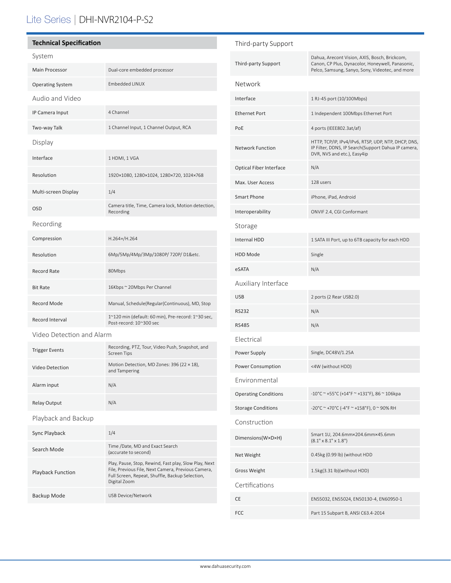# Lite Series | DHI-NVR2104-P-S2

| <b>Technical Specification</b> |                                                                               |  |  |
|--------------------------------|-------------------------------------------------------------------------------|--|--|
| System                         |                                                                               |  |  |
| Main Processor                 | Dual-core embedded processor                                                  |  |  |
| <b>Operating System</b>        | <b>Fmbedded LINUX</b>                                                         |  |  |
| Audio and Video                |                                                                               |  |  |
| IP Camera Input                | 4 Channel                                                                     |  |  |
| Two-way Talk                   | 1 Channel Input, 1 Channel Output, RCA                                        |  |  |
| Display                        |                                                                               |  |  |
| Interface                      | 1 HDMI, 1 VGA                                                                 |  |  |
| Resolution                     | 1920×1080, 1280×1024, 1280×720, 1024×768                                      |  |  |
| Multi-screen Display           | 1/4                                                                           |  |  |
| <b>OSD</b>                     | Camera title, Time, Camera lock, Motion detection,<br>Recording               |  |  |
| Recording                      |                                                                               |  |  |
| Compression                    | H.264+/H.264                                                                  |  |  |
| Resolution                     | 6Mp/5Mp/4Mp/3Mp/1080P/720P/D1&etc.                                            |  |  |
| Record Rate                    | 80Mbps                                                                        |  |  |
| <b>Bit Rate</b>                | 16Kbps ~ 20Mbps Per Channel                                                   |  |  |
| <b>Record Mode</b>             | Manual, Schedule(Regular(Continuous), MD, Stop                                |  |  |
| Record Interval                | 1~120 min (default: 60 min), Pre-record: 1~30 sec,<br>Post-record: 10~300 sec |  |  |
| Video Detection and Alarm      |                                                                               |  |  |
| <b>Trigger Events</b>          | Recording, PTZ, Tour, Video Push, Snapshot, and<br><b>Screen Tips</b>         |  |  |
| Video Detection                | Motion Detection, MD Zones: 396 (22 × 18),<br>and Tampering                   |  |  |
| Alarm input                    | N/A                                                                           |  |  |
| <b>Relay Output</b>            | N/A                                                                           |  |  |
| Playback and Backup            |                                                                               |  |  |
| Sync Playback                  | 1/4                                                                           |  |  |
| Search Mode                    | Time /Date, MD and Exact Search<br>(accurate to second)                       |  |  |

Play, Pause, Stop, Rewind, Fast play, Slow Play, Next File, Previous File, Next Camera, Previous Camera, Full Screen, Repeat, Shuffle, Backup Selection,

Digital Zoom

Backup Mode USB Device/Network

Playback Function

| Third-party Support            |                                                                                                                                                      |  |  |
|--------------------------------|------------------------------------------------------------------------------------------------------------------------------------------------------|--|--|
| <b>Third-party Support</b>     | Dahua, Arecont Vision, AXIS, Bosch, Brickcom,<br>Canon, CP Plus, Dynacolor, Honeywell, Panasonic,<br>Pelco, Samsung, Sanyo, Sony, Videotec, and more |  |  |
| Network                        |                                                                                                                                                      |  |  |
| Interface                      | 1 RJ-45 port (10/100Mbps)                                                                                                                            |  |  |
| <b>Ethernet Port</b>           | 1 Independent 100Mbps Ethernet Port                                                                                                                  |  |  |
| PoE                            | 4 ports (IEEE802.3at/af)                                                                                                                             |  |  |
| <b>Network Function</b>        | HTTP, TCP/IP, IPv4/IPv6, RTSP, UDP, NTP, DHCP, DNS,<br>IP Filter, DDNS, IP Search(Support Dahua IP camera,<br>DVR, NVS and etc.), Easy4ip            |  |  |
| <b>Optical Fiber Interface</b> | N/A                                                                                                                                                  |  |  |
| Max. User Access               | 128 users                                                                                                                                            |  |  |
| <b>Smart Phone</b>             | iPhone, iPad, Android                                                                                                                                |  |  |
| Interoperability               | ONVIF 2.4, CGI Conformant                                                                                                                            |  |  |
| Storage                        |                                                                                                                                                      |  |  |
| <b>Internal HDD</b>            | 1 SATA III Port, up to 6TB capacity for each HDD                                                                                                     |  |  |
| <b>HDD Mode</b>                | Single                                                                                                                                               |  |  |
| eSATA                          | N/A                                                                                                                                                  |  |  |
|                                |                                                                                                                                                      |  |  |
| Auxiliary Interface            |                                                                                                                                                      |  |  |
| <b>USB</b>                     | 2 ports (2 Rear USB2.0)                                                                                                                              |  |  |
| <b>RS232</b>                   | N/A                                                                                                                                                  |  |  |
| <b>RS485</b>                   | N/A                                                                                                                                                  |  |  |
| Electrical                     |                                                                                                                                                      |  |  |
| Power Supply                   | Single, DC48V/1.25A                                                                                                                                  |  |  |
| Power Consumption              | <4W (without HDD)                                                                                                                                    |  |  |
| Environmental                  |                                                                                                                                                      |  |  |
| <b>Operating Conditions</b>    | -10°C ~ +55°C (+14°F ~ +131°F), 86 ~ 106kpa                                                                                                          |  |  |
| <b>Storage Conditions</b>      | -20°C ~ +70°C (-4°F ~ +158°F), 0 ~ 90% RH                                                                                                            |  |  |
| Construction                   |                                                                                                                                                      |  |  |
| Dimensions(W×D×H)              | Smart 1U, 204.6mm×204.6mm×45.6mm<br>$(8.1" \times 8.1" \times 1.8")$                                                                                 |  |  |
| Net Weight                     | 0.45kg (0.99 lb) (without HDD                                                                                                                        |  |  |
| <b>Gross Weight</b>            | 1.5kg(3.31 lb)(without HDD)                                                                                                                          |  |  |
| Certifications                 |                                                                                                                                                      |  |  |
| CE                             | EN55032, EN55024, EN50130-4, EN60950-1                                                                                                               |  |  |